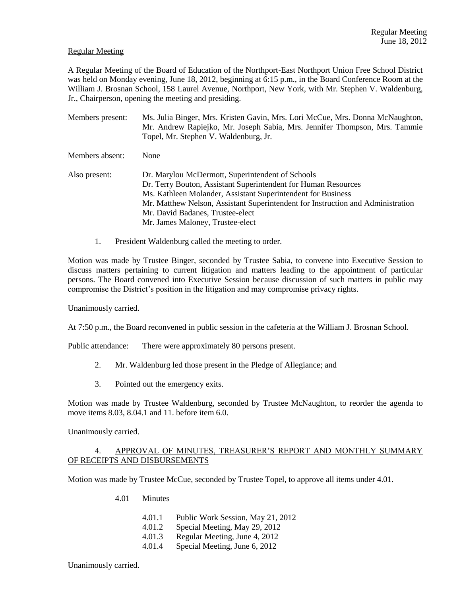## Regular Meeting

A Regular Meeting of the Board of Education of the Northport-East Northport Union Free School District was held on Monday evening, June 18, 2012, beginning at 6:15 p.m., in the Board Conference Room at the William J. Brosnan School, 158 Laurel Avenue, Northport, New York, with Mr. Stephen V. Waldenburg, Jr., Chairperson, opening the meeting and presiding.

| Members present: | Ms. Julia Binger, Mrs. Kristen Gavin, Mrs. Lori McCue, Mrs. Donna McNaughton,<br>Mr. Andrew Rapiejko, Mr. Joseph Sabia, Mrs. Jennifer Thompson, Mrs. Tammie<br>Topel, Mr. Stephen V. Waldenburg, Jr.                                                                                                                                          |
|------------------|-----------------------------------------------------------------------------------------------------------------------------------------------------------------------------------------------------------------------------------------------------------------------------------------------------------------------------------------------|
| Members absent:  | None                                                                                                                                                                                                                                                                                                                                          |
| Also present:    | Dr. Marylou McDermott, Superintendent of Schools<br>Dr. Terry Bouton, Assistant Superintendent for Human Resources<br>Ms. Kathleen Molander, Assistant Superintendent for Business<br>Mr. Matthew Nelson, Assistant Superintendent for Instruction and Administration<br>Mr. David Badanes, Trustee-elect<br>Mr. James Maloney, Trustee-elect |

1. President Waldenburg called the meeting to order.

Motion was made by Trustee Binger, seconded by Trustee Sabia, to convene into Executive Session to discuss matters pertaining to current litigation and matters leading to the appointment of particular persons. The Board convened into Executive Session because discussion of such matters in public may compromise the District's position in the litigation and may compromise privacy rights.

Unanimously carried.

At 7:50 p.m., the Board reconvened in public session in the cafeteria at the William J. Brosnan School.

Public attendance: There were approximately 80 persons present.

- 2. Mr. Waldenburg led those present in the Pledge of Allegiance; and
- 3. Pointed out the emergency exits.

Motion was made by Trustee Waldenburg, seconded by Trustee McNaughton, to reorder the agenda to move items 8.03, 8.04.1 and 11. before item 6.0.

Unanimously carried.

## 4. APPROVAL OF MINUTES, TREASURER'S REPORT AND MONTHLY SUMMARY OF RECEIPTS AND DISBURSEMENTS

Motion was made by Trustee McCue, seconded by Trustee Topel, to approve all items under 4.01.

- 4.01 Minutes
	- 4.01.1 Public Work Session, May 21, 2012
	- 4.01.2 Special Meeting, May 29, 2012
	- 4.01.3 Regular Meeting, June 4, 2012
	- 4.01.4 Special Meeting, June 6, 2012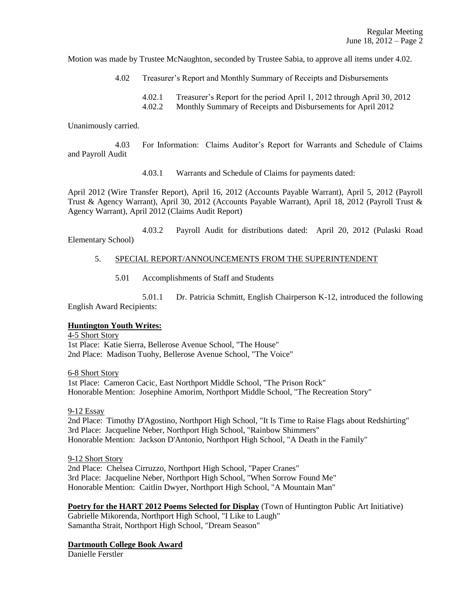Motion was made by Trustee McNaughton, seconded by Trustee Sabia, to approve all items under 4.02.

4.02 Treasurer's Report and Monthly Summary of Receipts and Disbursements

4.02.1 Treasurer's Report for the period April 1, 2012 through April 30, 2012

4.02.2 Monthly Summary of Receipts and Disbursements for April 2012

Unanimously carried.

4.03 For Information: Claims Auditor's Report for Warrants and Schedule of Claims and Payroll Audit

4.03.1 Warrants and Schedule of Claims for payments dated:

April 2012 (Wire Transfer Report), April 16, 2012 (Accounts Payable Warrant), April 5, 2012 (Payroll Trust & Agency Warrant), April 30, 2012 (Accounts Payable Warrant), April 18, 2012 (Payroll Trust & Agency Warrant), April 2012 (Claims Audit Report)

4.03.2 Payroll Audit for distributions dated: April 20, 2012 (Pulaski Road Elementary School)

## 5. SPECIAL REPORT/ANNOUNCEMENTS FROM THE SUPERINTENDENT

5.01 Accomplishments of Staff and Students

5.01.1 Dr. Patricia Schmitt, English Chairperson K-12, introduced the following English Award Recipients:

# **Huntington Youth Writes:**

4-5 Short Story 1st Place: Katie Sierra, Bellerose Avenue School, "The House" 2nd Place: Madison Tuohy, Bellerose Avenue School, "The Voice"

6-8 Short Story

1st Place: Cameron Cacic, East Northport Middle School, "The Prison Rock" Honorable Mention: Josephine Amorim, Northport Middle School, "The Recreation Story"

9-12 Essay

2nd Place: Timothy D'Agostino, Northport High School, "It Is Time to Raise Flags about Redshirting" 3rd Place: Jacqueline Neber, Northport High School, "Rainbow Shimmers" Honorable Mention: Jackson D'Antonio, Northport High School, "A Death in the Family"

### 9-12 Short Story

2nd Place: Chelsea Cirruzzo, Northport High School, "Paper Cranes" 3rd Place: Jacqueline Neber, Northport High School, "When Sorrow Found Me" Honorable Mention: Caitlin Dwyer, Northport High School, "A Mountain Man"

**Poetry for the HART 2012 Poems Selected for Display** (Town of Huntington Public Art Initiative)

Gabrielle Mikorenda, Northport High School, "I Like to Laugh" Samantha Strait, Northport High School, "Dream Season"

# **Dartmouth College Book Award**

Danielle Ferstler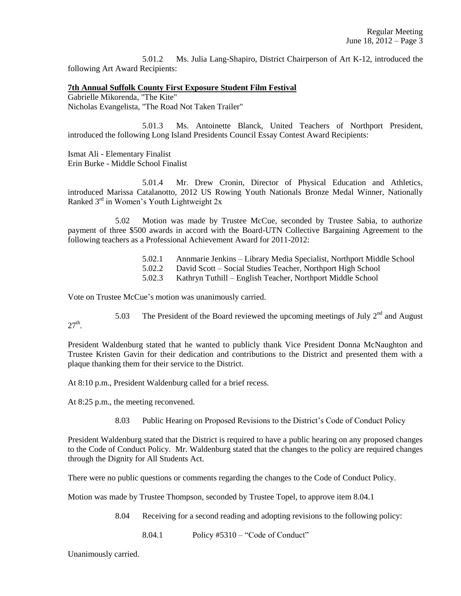5.01.2 Ms. Julia Lang-Shapiro, District Chairperson of Art K-12, introduced the following Art Award Recipients:

### **7th Annual Suffolk County First Exposure Student Film Festival**

Gabrielle Mikorenda, "The Kite" Nicholas Evangelista, "The Road Not Taken Trailer"

5.01.3 Ms. Antoinette Blanck, United Teachers of Northport President, introduced the following Long Island Presidents Council Essay Contest Award Recipients:

Ismat Ali - Elementary Finalist Erin Burke - Middle School Finalist

5.01.4 Mr. Drew Cronin, Director of Physical Education and Athletics, introduced Marissa Catalanotto, 2012 US Rowing Youth Nationals Bronze Medal Winner, Nationally Ranked  $3<sup>rd</sup>$  in Women's Youth Lightweight  $2x$ 

5.02 Motion was made by Trustee McCue, seconded by Trustee Sabia, to authorize payment of three \$500 awards in accord with the Board-UTN Collective Bargaining Agreement to the following teachers as a Professional Achievement Award for 2011-2012:

- 5.02.1 Annmarie Jenkins Library Media Specialist, Northport Middle School
- 5.02.2 David Scott Social Studies Teacher, Northport High School
- 5.02.3 Kathryn Tuthill English Teacher, Northport Middle School

Vote on Trustee McCue's motion was unanimously carried.

5.03 The President of the Board reviewed the upcoming meetings of July  $2^{nd}$  and August

President Waldenburg stated that he wanted to publicly thank Vice President Donna McNaughton and Trustee Kristen Gavin for their dedication and contributions to the District and presented them with a plaque thanking them for their service to the District.

At 8:10 p.m., President Waldenburg called for a brief recess.

At 8:25 p.m., the meeting reconvened.

 $27<sup>th</sup>$ .

8.03 Public Hearing on Proposed Revisions to the District's Code of Conduct Policy

President Waldenburg stated that the District is required to have a public hearing on any proposed changes to the Code of Conduct Policy. Mr. Waldenburg stated that the changes to the policy are required changes through the Dignity for All Students Act.

There were no public questions or comments regarding the changes to the Code of Conduct Policy.

Motion was made by Trustee Thompson, seconded by Trustee Topel, to approve item 8.04.1

8.04 Receiving for a second reading and adopting revisions to the following policy:

8.04.1 Policy #5310 – "Code of Conduct"

Unanimously carried.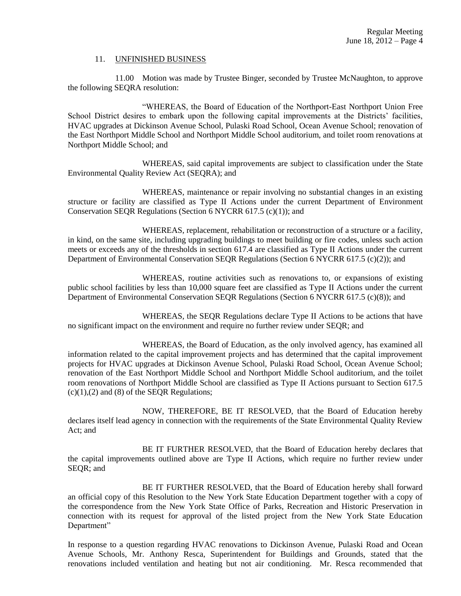#### 11. UNFINISHED BUSINESS

11.00 Motion was made by Trustee Binger, seconded by Trustee McNaughton, to approve the following SEQRA resolution:

"WHEREAS, the Board of Education of the Northport-East Northport Union Free School District desires to embark upon the following capital improvements at the Districts' facilities, HVAC upgrades at Dickinson Avenue School, Pulaski Road School, Ocean Avenue School; renovation of the East Northport Middle School and Northport Middle School auditorium, and toilet room renovations at Northport Middle School; and

WHEREAS, said capital improvements are subject to classification under the State Environmental Quality Review Act (SEQRA); and

WHEREAS, maintenance or repair involving no substantial changes in an existing structure or facility are classified as Type II Actions under the current Department of Environment Conservation SEQR Regulations (Section 6 NYCRR 617.5 (c)(1)); and

WHEREAS, replacement, rehabilitation or reconstruction of a structure or a facility, in kind, on the same site, including upgrading buildings to meet building or fire codes, unless such action meets or exceeds any of the thresholds in section 617.4 are classified as Type II Actions under the current Department of Environmental Conservation SEQR Regulations (Section 6 NYCRR 617.5 (c)(2)); and

WHEREAS, routine activities such as renovations to, or expansions of existing public school facilities by less than 10,000 square feet are classified as Type II Actions under the current Department of Environmental Conservation SEQR Regulations (Section 6 NYCRR 617.5 (c)(8)); and

WHEREAS, the SEQR Regulations declare Type II Actions to be actions that have no significant impact on the environment and require no further review under SEQR; and

WHEREAS, the Board of Education, as the only involved agency, has examined all information related to the capital improvement projects and has determined that the capital improvement projects for HVAC upgrades at Dickinson Avenue School, Pulaski Road School, Ocean Avenue School; renovation of the East Northport Middle School and Northport Middle School auditorium, and the toilet room renovations of Northport Middle School are classified as Type II Actions pursuant to Section 617.5  $(c)(1)$ ,  $(2)$  and  $(8)$  of the SEQR Regulations;

NOW, THEREFORE, BE IT RESOLVED, that the Board of Education hereby declares itself lead agency in connection with the requirements of the State Environmental Quality Review Act; and

BE IT FURTHER RESOLVED, that the Board of Education hereby declares that the capital improvements outlined above are Type II Actions, which require no further review under SEQR; and

BE IT FURTHER RESOLVED, that the Board of Education hereby shall forward an official copy of this Resolution to the New York State Education Department together with a copy of the correspondence from the New York State Office of Parks, Recreation and Historic Preservation in connection with its request for approval of the listed project from the New York State Education Department"

In response to a question regarding HVAC renovations to Dickinson Avenue, Pulaski Road and Ocean Avenue Schools, Mr. Anthony Resca, Superintendent for Buildings and Grounds, stated that the renovations included ventilation and heating but not air conditioning. Mr. Resca recommended that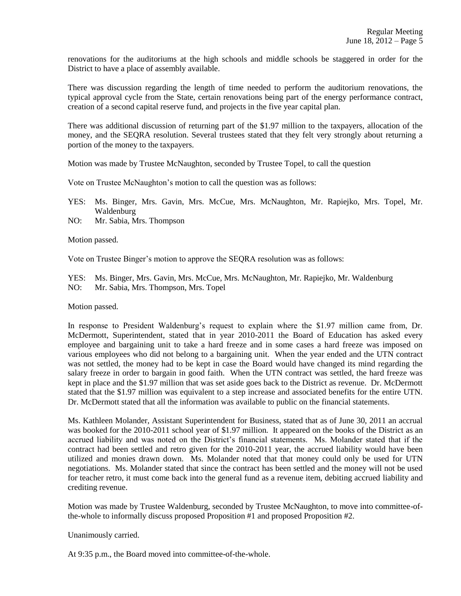renovations for the auditoriums at the high schools and middle schools be staggered in order for the District to have a place of assembly available.

There was discussion regarding the length of time needed to perform the auditorium renovations, the typical approval cycle from the State, certain renovations being part of the energy performance contract, creation of a second capital reserve fund, and projects in the five year capital plan.

There was additional discussion of returning part of the \$1.97 million to the taxpayers, allocation of the money, and the SEQRA resolution. Several trustees stated that they felt very strongly about returning a portion of the money to the taxpayers.

Motion was made by Trustee McNaughton, seconded by Trustee Topel, to call the question

Vote on Trustee McNaughton's motion to call the question was as follows:

- YES: Ms. Binger, Mrs. Gavin, Mrs. McCue, Mrs. McNaughton, Mr. Rapiejko, Mrs. Topel, Mr. Waldenburg
- NO: Mr. Sabia, Mrs. Thompson

Motion passed.

Vote on Trustee Binger's motion to approve the SEQRA resolution was as follows:

YES: Ms. Binger, Mrs. Gavin, Mrs. McCue, Mrs. McNaughton, Mr. Rapiejko, Mr. Waldenburg NO: Mr. Sabia, Mrs. Thompson, Mrs. Topel

Motion passed.

In response to President Waldenburg's request to explain where the \$1.97 million came from, Dr. McDermott, Superintendent, stated that in year 2010-2011 the Board of Education has asked every employee and bargaining unit to take a hard freeze and in some cases a hard freeze was imposed on various employees who did not belong to a bargaining unit. When the year ended and the UTN contract was not settled, the money had to be kept in case the Board would have changed its mind regarding the salary freeze in order to bargain in good faith. When the UTN contract was settled, the hard freeze was kept in place and the \$1.97 million that was set aside goes back to the District as revenue. Dr. McDermott stated that the \$1.97 million was equivalent to a step increase and associated benefits for the entire UTN. Dr. McDermott stated that all the information was available to public on the financial statements.

Ms. Kathleen Molander, Assistant Superintendent for Business, stated that as of June 30, 2011 an accrual was booked for the 2010-2011 school year of \$1.97 million. It appeared on the books of the District as an accrued liability and was noted on the District's financial statements. Ms. Molander stated that if the contract had been settled and retro given for the 2010-2011 year, the accrued liability would have been utilized and monies drawn down. Ms. Molander noted that that money could only be used for UTN negotiations. Ms. Molander stated that since the contract has been settled and the money will not be used for teacher retro, it must come back into the general fund as a revenue item, debiting accrued liability and crediting revenue.

Motion was made by Trustee Waldenburg, seconded by Trustee McNaughton, to move into committee-ofthe-whole to informally discuss proposed Proposition #1 and proposed Proposition #2.

Unanimously carried.

At 9:35 p.m., the Board moved into committee-of-the-whole.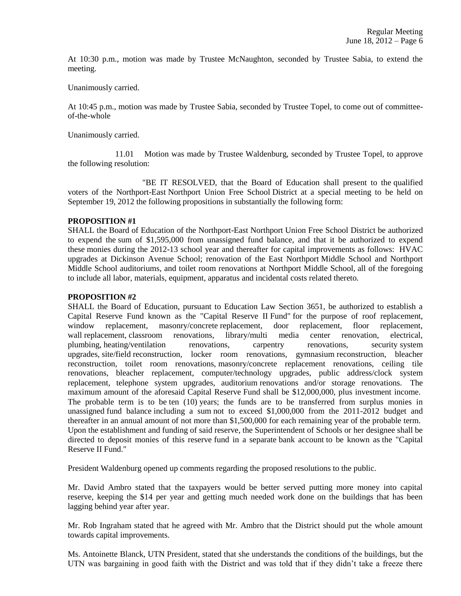At 10:30 p.m., motion was made by Trustee McNaughton, seconded by Trustee Sabia, to extend the meeting.

Unanimously carried.

At 10:45 p.m., motion was made by Trustee Sabia, seconded by Trustee Topel, to come out of committeeof-the-whole

Unanimously carried.

11.01 Motion was made by Trustee Waldenburg, seconded by Trustee Topel, to approve the following resolution:

"BE IT RESOLVED, that the Board of Education shall present to the qualified voters of the Northport-East Northport Union Free School District at a special meeting to be held on September 19, 2012 the following propositions in substantially the following form:

## **PROPOSITION #1**

SHALL the Board of Education of the Northport-East Northport Union Free School District be authorized to expend the sum of \$1,595,000 from unassigned fund balance, and that it be authorized to expend these monies during the 2012-13 school year and thereafter for capital improvements as follows: HVAC upgrades at Dickinson Avenue School; renovation of the East Northport Middle School and Northport Middle School auditoriums, and toilet room renovations at Northport Middle School, all of the foregoing to include all labor, materials, equipment, apparatus and incidental costs related thereto.

### **PROPOSITION #2**

SHALL the Board of Education, pursuant to Education Law Section 3651, be authorized to establish a Capital Reserve Fund known as the "Capital Reserve II Fund" for the purpose of roof replacement, window replacement, masonry/concrete replacement, door replacement, floor replacement, wall replacement, classroom renovations, library/multi media center renovation, electrical, plumbing, heating/ventilation renovations, carpentry renovations, security system upgrades, site/field reconstruction, locker room renovations, gymnasium reconstruction, bleacher reconstruction, toilet room renovations, masonry/concrete replacement renovations, ceiling tile renovations, bleacher replacement, computer/technology upgrades, public address/clock system replacement, telephone system upgrades, auditorium renovations and/or storage renovations. The maximum amount of the aforesaid Capital Reserve Fund shall be \$12,000,000, plus investment income. The probable term is to be ten (10) years; the funds are to be transferred from surplus monies in unassigned fund balance including a sum not to exceed \$1,000,000 from the 2011-2012 budget and thereafter in an annual amount of not more than \$1,500,000 for each remaining year of the probable term. Upon the establishment and funding of said reserve, the Superintendent of Schools or her designee shall be directed to deposit monies of this reserve fund in a separate bank account to be known as the "Capital Reserve II Fund."

President Waldenburg opened up comments regarding the proposed resolutions to the public.

Mr. David Ambro stated that the taxpayers would be better served putting more money into capital reserve, keeping the \$14 per year and getting much needed work done on the buildings that has been lagging behind year after year.

Mr. Rob Ingraham stated that he agreed with Mr. Ambro that the District should put the whole amount towards capital improvements.

Ms. Antoinette Blanck, UTN President, stated that she understands the conditions of the buildings, but the UTN was bargaining in good faith with the District and was told that if they didn't take a freeze there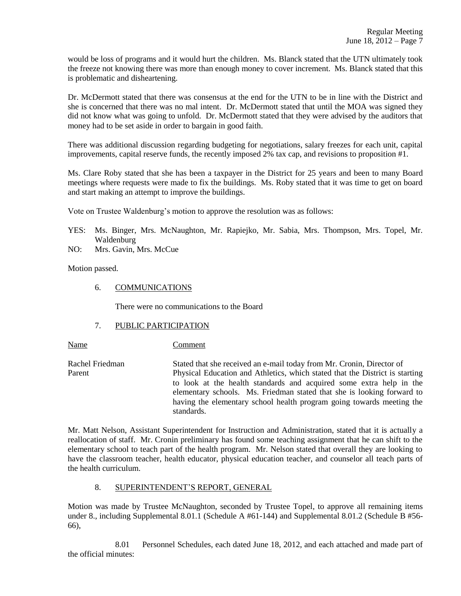would be loss of programs and it would hurt the children. Ms. Blanck stated that the UTN ultimately took the freeze not knowing there was more than enough money to cover increment. Ms. Blanck stated that this is problematic and disheartening.

Dr. McDermott stated that there was consensus at the end for the UTN to be in line with the District and she is concerned that there was no mal intent. Dr. McDermott stated that until the MOA was signed they did not know what was going to unfold. Dr. McDermott stated that they were advised by the auditors that money had to be set aside in order to bargain in good faith.

There was additional discussion regarding budgeting for negotiations, salary freezes for each unit, capital improvements, capital reserve funds, the recently imposed 2% tax cap, and revisions to proposition #1.

Ms. Clare Roby stated that she has been a taxpayer in the District for 25 years and been to many Board meetings where requests were made to fix the buildings. Ms. Roby stated that it was time to get on board and start making an attempt to improve the buildings.

Vote on Trustee Waldenburg's motion to approve the resolution was as follows:

- YES: Ms. Binger, Mrs. McNaughton, Mr. Rapiejko, Mr. Sabia, Mrs. Thompson, Mrs. Topel, Mr. Waldenburg
- NO: Mrs. Gavin, Mrs. McCue

Motion passed.

6. COMMUNICATIONS

There were no communications to the Board

### 7. PUBLIC PARTICIPATION

Name Comment

Rachel Friedman Stated that she received an e-mail today from Mr. Cronin, Director of Parent Physical Education and Athletics, which stated that the District is starting to look at the health standards and acquired some extra help in the elementary schools. Ms. Friedman stated that she is looking forward to having the elementary school health program going towards meeting the standards.

Mr. Matt Nelson, Assistant Superintendent for Instruction and Administration, stated that it is actually a reallocation of staff. Mr. Cronin preliminary has found some teaching assignment that he can shift to the elementary school to teach part of the health program. Mr. Nelson stated that overall they are looking to have the classroom teacher, health educator, physical education teacher, and counselor all teach parts of the health curriculum.

# 8. SUPERINTENDENT'S REPORT, GENERAL

Motion was made by Trustee McNaughton, seconded by Trustee Topel, to approve all remaining items under 8., including Supplemental 8.01.1 (Schedule A #61-144) and Supplemental 8.01.2 (Schedule B #56- 66),

8.01 Personnel Schedules, each dated June 18, 2012, and each attached and made part of the official minutes: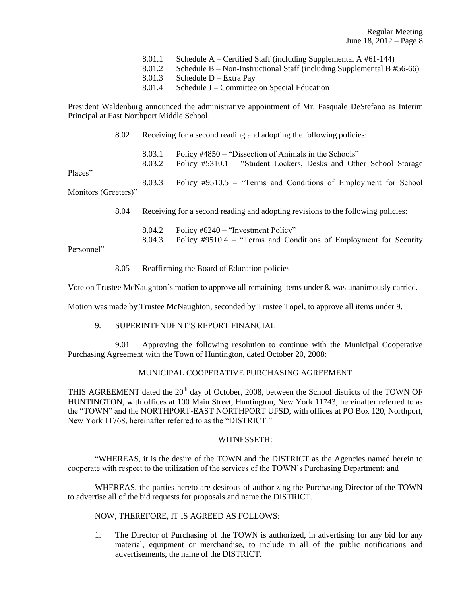- 8.01.1 Schedule A Certified Staff (including Supplemental A  $#61-144$ )<br>8.01.2 Schedule B Non-Instructional Staff (including Supplemental B  $#$
- Schedule B Non-Instructional Staff (including Supplemental B  $#56-66$ )
- 8.01.3 Schedule D Extra Pay
- 8.01.4 Schedule J Committee on Special Education

President Waldenburg announced the administrative appointment of Mr. Pasquale DeStefano as Interim Principal at East Northport Middle School.

8.02 Receiving for a second reading and adopting the following policies:

8.03.1 Policy #4850 – "Dissection of Animals in the Schools" 8.03.2 Policy #5310.1 – "Student Lockers, Desks and Other School Storage Places" 8.03.3 Policy #9510.5 – "Terms and Conditions of Employment for School Monitors (Greeters)"

8.04 Receiving for a second reading and adopting revisions to the following policies:

8.04.2 Policy #6240 – "Investment Policy" 8.04.3 Policy #9510.4 – "Terms and Conditions of Employment for Security

Personnel"

- - 8.05 Reaffirming the Board of Education policies

Vote on Trustee McNaughton's motion to approve all remaining items under 8. was unanimously carried.

Motion was made by Trustee McNaughton, seconded by Trustee Topel, to approve all items under 9.

## 9. SUPERINTENDENT'S REPORT FINANCIAL

9.01 Approving the following resolution to continue with the Municipal Cooperative Purchasing Agreement with the Town of Huntington, dated October 20, 2008:

## MUNICIPAL COOPERATIVE PURCHASING AGREEMENT

THIS AGREEMENT dated the  $20<sup>th</sup>$  day of October, 2008, between the School districts of the TOWN OF HUNTINGTON, with offices at 100 Main Street, Huntington, New York 11743, hereinafter referred to as the "TOWN" and the NORTHPORT-EAST NORTHPORT UFSD, with offices at PO Box 120, Northport, New York 11768, hereinafter referred to as the "DISTRICT."

### WITNESSETH:

"WHEREAS, it is the desire of the TOWN and the DISTRICT as the Agencies named herein to cooperate with respect to the utilization of the services of the TOWN's Purchasing Department; and

WHEREAS, the parties hereto are desirous of authorizing the Purchasing Director of the TOWN to advertise all of the bid requests for proposals and name the DISTRICT.

## NOW, THEREFORE, IT IS AGREED AS FOLLOWS:

1. The Director of Purchasing of the TOWN is authorized, in advertising for any bid for any material, equipment or merchandise, to include in all of the public notifications and advertisements, the name of the DISTRICT.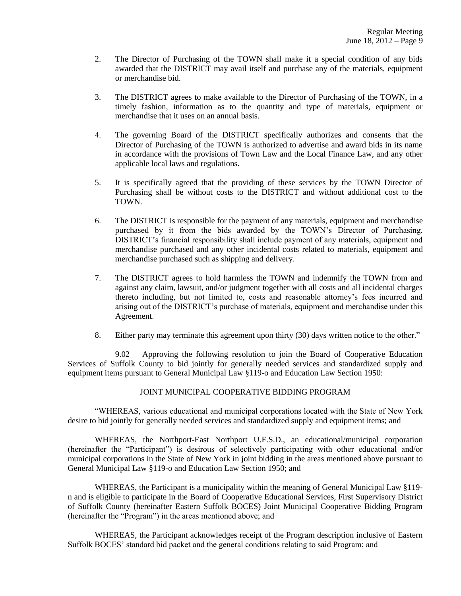- 2. The Director of Purchasing of the TOWN shall make it a special condition of any bids awarded that the DISTRICT may avail itself and purchase any of the materials, equipment or merchandise bid.
- 3. The DISTRICT agrees to make available to the Director of Purchasing of the TOWN, in a timely fashion, information as to the quantity and type of materials, equipment or merchandise that it uses on an annual basis.
- 4. The governing Board of the DISTRICT specifically authorizes and consents that the Director of Purchasing of the TOWN is authorized to advertise and award bids in its name in accordance with the provisions of Town Law and the Local Finance Law, and any other applicable local laws and regulations.
- 5. It is specifically agreed that the providing of these services by the TOWN Director of Purchasing shall be without costs to the DISTRICT and without additional cost to the TOWN.
- 6. The DISTRICT is responsible for the payment of any materials, equipment and merchandise purchased by it from the bids awarded by the TOWN's Director of Purchasing. DISTRICT's financial responsibility shall include payment of any materials, equipment and merchandise purchased and any other incidental costs related to materials, equipment and merchandise purchased such as shipping and delivery.
- 7. The DISTRICT agrees to hold harmless the TOWN and indemnify the TOWN from and against any claim, lawsuit, and/or judgment together with all costs and all incidental charges thereto including, but not limited to, costs and reasonable attorney's fees incurred and arising out of the DISTRICT's purchase of materials, equipment and merchandise under this Agreement.
- 8. Either party may terminate this agreement upon thirty (30) days written notice to the other."

9.02 Approving the following resolution to join the Board of Cooperative Education Services of Suffolk County to bid jointly for generally needed services and standardized supply and equipment items pursuant to General Municipal Law §119-o and Education Law Section 1950:

# JOINT MUNICIPAL COOPERATIVE BIDDING PROGRAM

"WHEREAS, various educational and municipal corporations located with the State of New York desire to bid jointly for generally needed services and standardized supply and equipment items; and

WHEREAS, the Northport-East Northport U.F.S.D., an educational/municipal corporation (hereinafter the "Participant") is desirous of selectively participating with other educational and/or municipal corporations in the State of New York in joint bidding in the areas mentioned above pursuant to General Municipal Law §119-o and Education Law Section 1950; and

WHEREAS, the Participant is a municipality within the meaning of General Municipal Law §119 n and is eligible to participate in the Board of Cooperative Educational Services, First Supervisory District of Suffolk County (hereinafter Eastern Suffolk BOCES) Joint Municipal Cooperative Bidding Program (hereinafter the "Program") in the areas mentioned above; and

WHEREAS, the Participant acknowledges receipt of the Program description inclusive of Eastern Suffolk BOCES' standard bid packet and the general conditions relating to said Program; and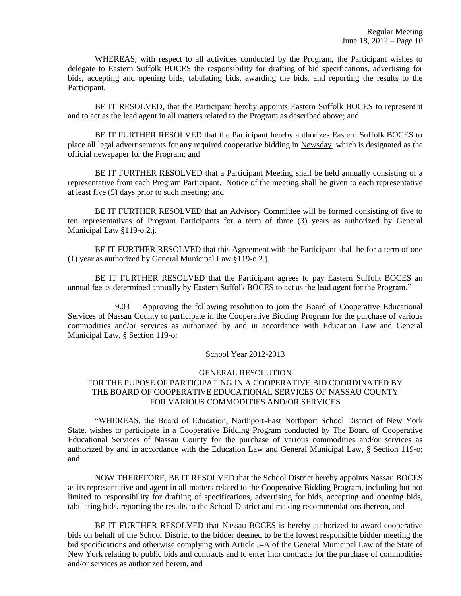WHEREAS, with respect to all activities conducted by the Program, the Participant wishes to delegate to Eastern Suffolk BOCES the responsibility for drafting of bid specifications, advertising for bids, accepting and opening bids, tabulating bids, awarding the bids, and reporting the results to the Participant.

BE IT RESOLVED, that the Participant hereby appoints Eastern Suffolk BOCES to represent it and to act as the lead agent in all matters related to the Program as described above; and

BE IT FURTHER RESOLVED that the Participant hereby authorizes Eastern Suffolk BOCES to place all legal advertisements for any required cooperative bidding in Newsday, which is designated as the official newspaper for the Program; and

BE IT FURTHER RESOLVED that a Participant Meeting shall be held annually consisting of a representative from each Program Participant. Notice of the meeting shall be given to each representative at least five (5) days prior to such meeting; and

BE IT FURTHER RESOLVED that an Advisory Committee will be formed consisting of five to ten representatives of Program Participants for a term of three (3) years as authorized by General Municipal Law §119-o.2.j.

BE IT FURTHER RESOLVED that this Agreement with the Participant shall be for a term of one (1) year as authorized by General Municipal Law §119-o.2.j.

BE IT FURTHER RESOLVED that the Participant agrees to pay Eastern Suffolk BOCES an annual fee as determined annually by Eastern Suffolk BOCES to act as the lead agent for the Program."

9.03 Approving the following resolution to join the Board of Cooperative Educational Services of Nassau County to participate in the Cooperative Bidding Program for the purchase of various commodities and/or services as authorized by and in accordance with Education Law and General Municipal Law, § Section 119-o:

### School Year 2012-2013

## GENERAL RESOLUTION

# FOR THE PUPOSE OF PARTICIPATING IN A COOPERATIVE BID COORDINATED BY THE BOARD OF COOPERATIVE EDUCATIONAL SERVICES OF NASSAU COUNTY FOR VARIOUS COMMODITIES AND/OR SERVICES

"WHEREAS, the Board of Education, Northport-East Northport School District of New York State, wishes to participate in a Cooperative Bidding Program conducted by The Board of Cooperative Educational Services of Nassau County for the purchase of various commodities and/or services as authorized by and in accordance with the Education Law and General Municipal Law, § Section 119-o; and

NOW THEREFORE, BE IT RESOLVED that the School District hereby appoints Nassau BOCES as its representative and agent in all matters related to the Cooperative Bidding Program, including but not limited to responsibility for drafting of specifications, advertising for bids, accepting and opening bids, tabulating bids, reporting the results to the School District and making recommendations thereon, and

BE IT FURTHER RESOLVED that Nassau BOCES is hereby authorized to award cooperative bids on behalf of the School District to the bidder deemed to be the lowest responsible bidder meeting the bid specifications and otherwise complying with Article 5-A of the General Municipal Law of the State of New York relating to public bids and contracts and to enter into contracts for the purchase of commodities and/or services as authorized herein, and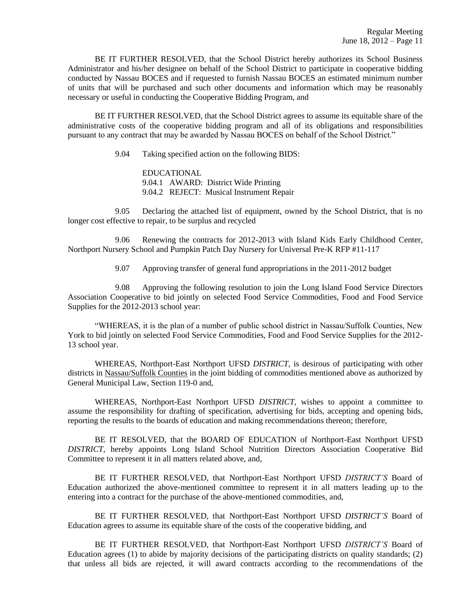BE IT FURTHER RESOLVED, that the School District hereby authorizes its School Business Administrator and his/her designee on behalf of the School District to participate in cooperative bidding conducted by Nassau BOCES and if requested to furnish Nassau BOCES an estimated minimum number of units that will be purchased and such other documents and information which may be reasonably necessary or useful in conducting the Cooperative Bidding Program, and

BE IT FURTHER RESOLVED, that the School District agrees to assume its equitable share of the administrative costs of the cooperative bidding program and all of its obligations and responsibilities pursuant to any contract that may be awarded by Nassau BOCES on behalf of the School District."

9.04 Taking specified action on the following BIDS:

EDUCATIONAL 9.04.1 AWARD: District Wide Printing 9.04.2 REJECT: Musical Instrument Repair

9.05 Declaring the attached list of equipment, owned by the School District, that is no longer cost effective to repair, to be surplus and recycled

9.06 Renewing the contracts for 2012-2013 with Island Kids Early Childhood Center, Northport Nursery School and Pumpkin Patch Day Nursery for Universal Pre-K RFP #11-117

9.07 Approving transfer of general fund appropriations in the 2011-2012 budget

9.08 Approving the following resolution to join the Long Island Food Service Directors Association Cooperative to bid jointly on selected Food Service Commodities, Food and Food Service Supplies for the 2012-2013 school year:

"WHEREAS, it is the plan of a number of public school district in Nassau/Suffolk Counties, New York to bid jointly on selected Food Service Commodities, Food and Food Service Supplies for the 2012- 13 school year.

WHEREAS, Northport-East Northport UFSD *DISTRICT*, is desirous of participating with other districts in Nassau/Suffolk Counties in the joint bidding of commodities mentioned above as authorized by General Municipal Law, Section 119-0 and,

WHEREAS, Northport-East Northport UFSD *DISTRICT*, wishes to appoint a committee to assume the responsibility for drafting of specification, advertising for bids, accepting and opening bids, reporting the results to the boards of education and making recommendations thereon; therefore,

BE IT RESOLVED, that the BOARD OF EDUCATION of Northport-East Northport UFSD *DISTRICT*, hereby appoints Long Island School Nutrition Directors Association Cooperative Bid Committee to represent it in all matters related above, and,

BE IT FURTHER RESOLVED, that Northport-East Northport UFSD *DISTRICT'S* Board of Education authorized the above-mentioned committee to represent it in all matters leading up to the entering into a contract for the purchase of the above-mentioned commodities, and,

BE IT FURTHER RESOLVED, that Northport-East Northport UFSD *DISTRICT'S* Board of Education agrees to assume its equitable share of the costs of the cooperative bidding, and

BE IT FURTHER RESOLVED, that Northport-East Northport UFSD *DISTRICT'S* Board of Education agrees (1) to abide by majority decisions of the participating districts on quality standards; (2) that unless all bids are rejected, it will award contracts according to the recommendations of the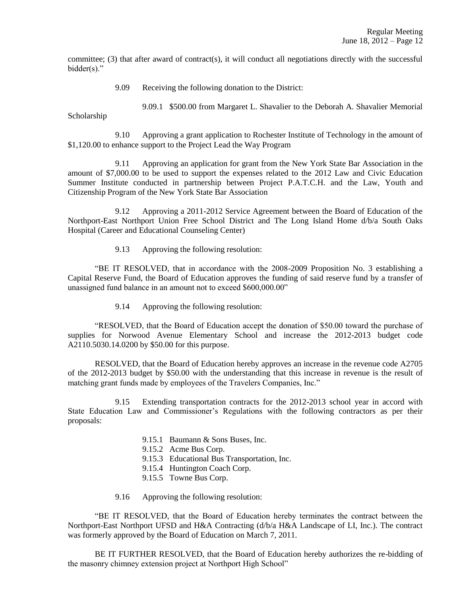committee; (3) that after award of contract(s), it will conduct all negotiations directly with the successful bidder(s)."

9.09 Receiving the following donation to the District:

9.09.1 \$500.00 from Margaret L. Shavalier to the Deborah A. Shavalier Memorial

Scholarship

9.10 Approving a grant application to Rochester Institute of Technology in the amount of \$1,120.00 to enhance support to the Project Lead the Way Program

9.11 Approving an application for grant from the New York State Bar Association in the amount of \$7,000.00 to be used to support the expenses related to the 2012 Law and Civic Education Summer Institute conducted in partnership between Project P.A.T.C.H. and the Law, Youth and Citizenship Program of the New York State Bar Association

9.12 Approving a 2011-2012 Service Agreement between the Board of Education of the Northport-East Northport Union Free School District and The Long Island Home d/b/a South Oaks Hospital (Career and Educational Counseling Center)

9.13 Approving the following resolution:

"BE IT RESOLVED, that in accordance with the 2008-2009 Proposition No. 3 establishing a Capital Reserve Fund, the Board of Education approves the funding of said reserve fund by a transfer of unassigned fund balance in an amount not to exceed \$600,000.00"

9.14 Approving the following resolution:

"RESOLVED, that the Board of Education accept the donation of \$50.00 toward the purchase of supplies for Norwood Avenue Elementary School and increase the 2012-2013 budget code A2110.5030.14.0200 by \$50.00 for this purpose.

RESOLVED, that the Board of Education hereby approves an increase in the revenue code A2705 of the 2012-2013 budget by \$50.00 with the understanding that this increase in revenue is the result of matching grant funds made by employees of the Travelers Companies, Inc."

9.15 Extending transportation contracts for the 2012-2013 school year in accord with State Education Law and Commissioner's Regulations with the following contractors as per their proposals:

- 9.15.1 Baumann & Sons Buses, Inc.
- 9.15.2 Acme Bus Corp.
- 9.15.3 Educational Bus Transportation, Inc.
- 9.15.4 Huntington Coach Corp.
- 9.15.5 Towne Bus Corp.
- 9.16 Approving the following resolution:

"BE IT RESOLVED, that the Board of Education hereby terminates the contract between the Northport-East Northport UFSD and H&A Contracting (d/b/a H&A Landscape of LI, Inc.). The contract was formerly approved by the Board of Education on March 7, 2011.

BE IT FURTHER RESOLVED, that the Board of Education hereby authorizes the re-bidding of the masonry chimney extension project at Northport High School"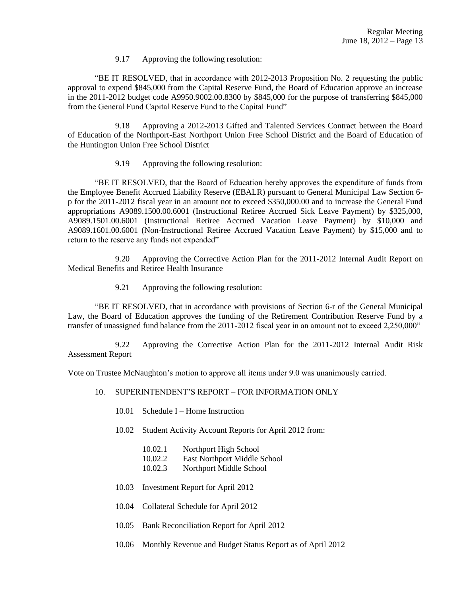9.17 Approving the following resolution:

"BE IT RESOLVED, that in accordance with 2012-2013 Proposition No. 2 requesting the public approval to expend \$845,000 from the Capital Reserve Fund, the Board of Education approve an increase in the 2011-2012 budget code A9950.9002.00.8300 by \$845,000 for the purpose of transferring \$845,000 from the General Fund Capital Reserve Fund to the Capital Fund"

9.18 Approving a 2012-2013 Gifted and Talented Services Contract between the Board of Education of the Northport-East Northport Union Free School District and the Board of Education of the Huntington Union Free School District

9.19 Approving the following resolution:

"BE IT RESOLVED, that the Board of Education hereby approves the expenditure of funds from the Employee Benefit Accrued Liability Reserve (EBALR) pursuant to General Municipal Law Section 6 p for the 2011-2012 fiscal year in an amount not to exceed \$350,000.00 and to increase the General Fund appropriations A9089.1500.00.6001 (Instructional Retiree Accrued Sick Leave Payment) by \$325,000, A9089.1501.00.6001 (Instructional Retiree Accrued Vacation Leave Payment) by \$10,000 and A9089.1601.00.6001 (Non-Instructional Retiree Accrued Vacation Leave Payment) by \$15,000 and to return to the reserve any funds not expended"

9.20 Approving the Corrective Action Plan for the 2011-2012 Internal Audit Report on Medical Benefits and Retiree Health Insurance

9.21 Approving the following resolution:

"BE IT RESOLVED, that in accordance with provisions of Section 6-r of the General Municipal Law, the Board of Education approves the funding of the Retirement Contribution Reserve Fund by a transfer of unassigned fund balance from the 2011-2012 fiscal year in an amount not to exceed 2,250,000"

9.22 Approving the Corrective Action Plan for the 2011-2012 Internal Audit Risk Assessment Report

Vote on Trustee McNaughton's motion to approve all items under 9.0 was unanimously carried.

- 10. SUPERINTENDENT'S REPORT FOR INFORMATION ONLY
	- 10.01 Schedule I Home Instruction
	- 10.02 Student Activity Account Reports for April 2012 from:
		- 10.02.1 Northport High School
		- 10.02.2 East Northport Middle School
		- 10.02.3 Northport Middle School
	- 10.03 Investment Report for April 2012
	- 10.04 Collateral Schedule for April 2012
	- 10.05 Bank Reconciliation Report for April 2012
	- 10.06 Monthly Revenue and Budget Status Report as of April 2012